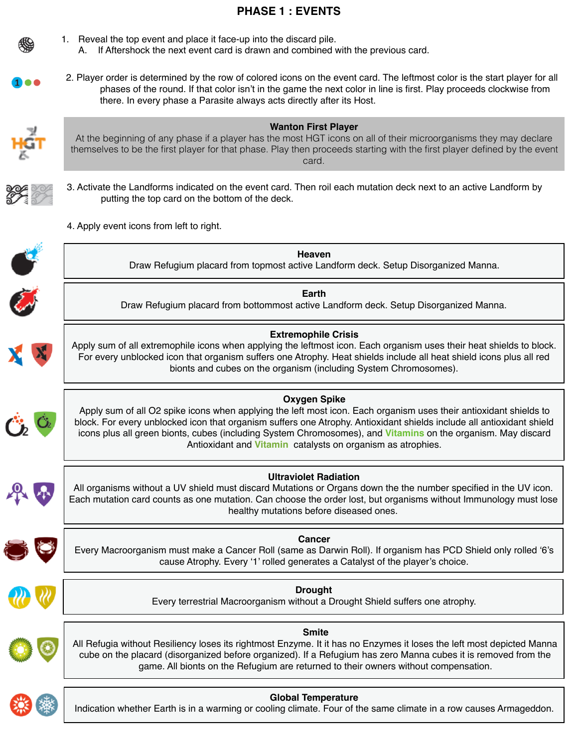### **PHASE 1 : EVENTS**

- 1. Reveal the top event and place it face-up into the discard pile. A. If Aftershock the next event card is drawn and combined with the previous card.
- 
- 2. Player order is determined by the row of colored icons on the event card. The leftmost color is the start player for all phases of the round. If that color isn't in the game the next color in line is first. Play proceeds clockwise from there. In every phase a Parasite always acts directly after its Host.

**Wanton First Player** At the beginning of any phase if a player has the most HGT icons on all of their microorganisms they may declare themselves to be the first player for that phase. Play then proceeds starting with the first player defined by the event card.

3. Activate the Landforms indicated on the event card. Then roil each mutation deck next to an active Landform by putting the top card on the bottom of the deck.

4. Apply event icons from left to right.



**Heaven**

Draw Refugium placard from topmost active Landform deck. Setup Disorganized Manna.



### **Earth** Draw Refugium placard from bottommost active Landform deck. Setup Disorganized Manna.

### **Extremophile Crisis**

Apply sum of all extremophile icons when applying the leftmost icon. Each organism uses their heat shields to block. For every unblocked icon that organism suffers one Atrophy. Heat shields include all heat shield icons plus all red bionts and cubes on the organism (including System Chromosomes).

### **Oxygen Spike**

Apply sum of all O2 spike icons when applying the left most icon. Each organism uses their antioxidant shields to block. For every unblocked icon that organism suffers one Atrophy. Antioxidant shields include all antioxidant shield icons plus all green bionts, cubes (including System Chromosomes), and **Vitamins** on the organism. May discard Antioxidant and **Vitamin** catalysts on organism as atrophies.

### **Ultraviolet Radiation**

All organisms without a UV shield must discard Mutations or Organs down the the number specified in the UV icon. Each mutation card counts as one mutation. Can choose the order lost, but organisms without Immunology must lose healthy mutations before diseased ones.

### **Cancer**

Every Macroorganism must make a Cancer Roll (same as Darwin Roll). If organism has PCD Shield only rolled '6's cause Atrophy. Every '1' rolled generates a Catalyst of the player's choice.



**Drought** Every terrestrial Macroorganism without a Drought Shield suffers one atrophy.



**Smite** All Refugia without Resiliency loses its rightmost Enzyme. It it has no Enzymes it loses the left most depicted Manna cube on the placard (disorganized before organized). If a Refugium has zero Manna cubes it is removed from the game. All bionts on the Refugium are returned to their owners without compensation.



### **Global Temperature**

Indication whether Earth is in a warming or cooling climate. Four of the same climate in a row causes Armageddon.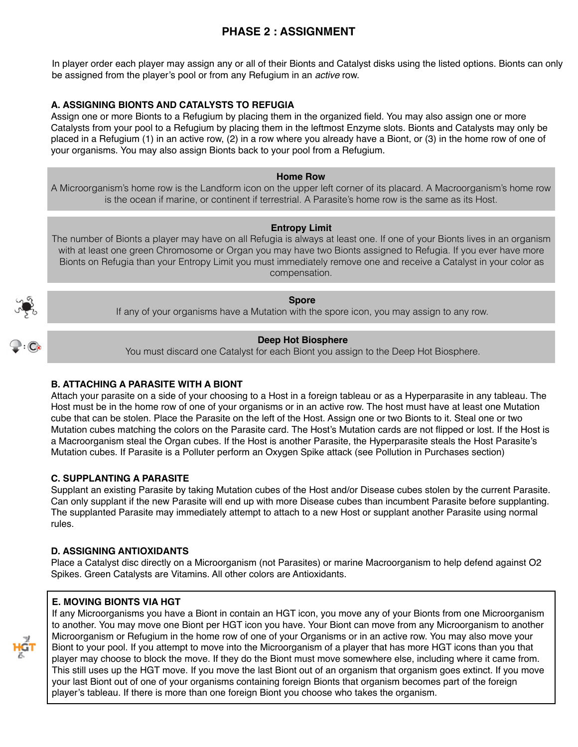### **PHASE 2 : ASSIGNMENT**

In player order each player may assign any or all of their Bionts and Catalyst disks using the listed options. Bionts can only be assigned from the player's pool or from any Refugium in an *active* row.

#### **A. ASSIGNING BIONTS AND CATALYSTS TO REFUGIA**

Assign one or more Bionts to a Refugium by placing them in the organized field. You may also assign one or more Catalysts from your pool to a Refugium by placing them in the leftmost Enzyme slots. Bionts and Catalysts may only be placed in a Refugium (1) in an active row, (2) in a row where you already have a Biont, or (3) in the home row of one of your organisms. You may also assign Bionts back to your pool from a Refugium.

#### **Home Row**

A Microorganism's home row is the Landform icon on the upper left corner of its placard. A Macroorganism's home row is the ocean if marine, or continent if terrestrial. A Parasite's home row is the same as its Host.

#### **Entropy Limit**

The number of Bionts a player may have on all Refugia is always at least one. If one of your Bionts lives in an organism with at least one green Chromosome or Organ you may have two Bionts assigned to Refugia. If you ever have more Bionts on Refugia than your Entropy Limit you must immediately remove one and receive a Catalyst in your color as compensation.



# If any of your organisms have a Mutation with the spore icon, you may assign to any row.

**Spore**

#### **Deep Hot Biosphere**

You must discard one Catalyst for each Biont you assign to the Deep Hot Biosphere.

#### **B. ATTACHING A PARASITE WITH A BIONT**

Attach your parasite on a side of your choosing to a Host in a foreign tableau or as a Hyperparasite in any tableau. The Host must be in the home row of one of your organisms or in an active row. The host must have at least one Mutation cube that can be stolen. Place the Parasite on the left of the Host. Assign one or two Bionts to it. Steal one or two Mutation cubes matching the colors on the Parasite card. The Host's Mutation cards are not flipped or lost. If the Host is a Macroorganism steal the Organ cubes. If the Host is another Parasite, the Hyperparasite steals the Host Parasite's Mutation cubes. If Parasite is a Polluter perform an Oxygen Spike attack (see Pollution in Purchases section)

#### **C. SUPPLANTING A PARASITE**

Supplant an existing Parasite by taking Mutation cubes of the Host and/or Disease cubes stolen by the current Parasite. Can only supplant if the new Parasite will end up with more Disease cubes than incumbent Parasite before supplanting. The supplanted Parasite may immediately attempt to attach to a new Host or supplant another Parasite using normal rules.

#### **D. ASSIGNING ANTIOXIDANTS**

Place a Catalyst disc directly on a Microorganism (not Parasites) or marine Macroorganism to help defend against O2 Spikes. Green Catalysts are Vitamins. All other colors are Antioxidants.

#### **E. MOVING BIONTS VIA HGT**



If any Microorganisms you have a Biont in contain an HGT icon, you move any of your Bionts from one Microorganism to another. You may move one Biont per HGT icon you have. Your Biont can move from any Microorganism to another Microorganism or Refugium in the home row of one of your Organisms or in an active row. You may also move your Biont to your pool. If you attempt to move into the Microorganism of a player that has more HGT icons than you that player may choose to block the move. If they do the Biont must move somewhere else, including where it came from. This still uses up the HGT move. If you move the last Biont out of an organism that organism goes extinct. If you move your last Biont out of one of your organisms containing foreign Bionts that organism becomes part of the foreign player's tableau. If there is more than one foreign Biont you choose who takes the organism.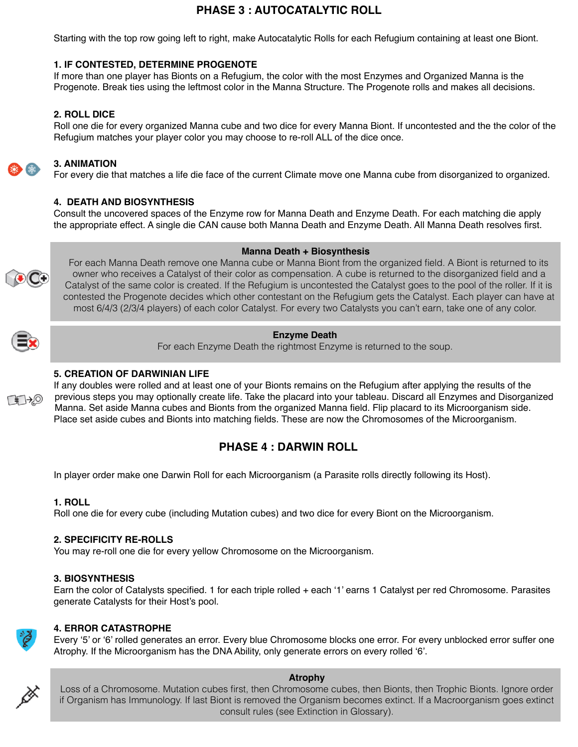### **PHASE 3 : AUTOCATALYTIC ROLL**

Starting with the top row going left to right, make Autocatalytic Rolls for each Refugium containing at least one Biont.

#### **1. IF CONTESTED, DETERMINE PROGENOTE**

If more than one player has Bionts on a Refugium, the color with the most Enzymes and Organized Manna is the Progenote. Break ties using the leftmost color in the Manna Structure. The Progenote rolls and makes all decisions.

#### **2. ROLL DICE**

Roll one die for every organized Manna cube and two dice for every Manna Biont. If uncontested and the the color of the Refugium matches your player color you may choose to re-roll ALL of the dice once.

#### **3. ANIMATION**

For every die that matches a life die face of the current Climate move one Manna cube from disorganized to organized.

#### **4. DEATH AND BIOSYNTHESIS**

Consult the uncovered spaces of the Enzyme row for Manna Death and Enzyme Death. For each matching die apply the appropriate effect. A single die CAN cause both Manna Death and Enzyme Death. All Manna Death resolves first.

#### **Manna Death + Biosynthesis**

For each Manna Death remove one Manna cube or Manna Biont from the organized field. A Biont is returned to its owner who receives a Catalyst of their color as compensation. A cube is returned to the disorganized field and a Catalyst of the same color is created. If the Refugium is uncontested the Catalyst goes to the pool of the roller. If it is contested the Progenote decides which other contestant on the Refugium gets the Catalyst. Each player can have at most 6/4/3 (2/3/4 players) of each color Catalyst. For every two Catalysts you can't earn, take one of any color.

#### **Enzyme Death**

For each Enzyme Death the rightmost Enzyme is returned to the soup.

#### **5. CREATION OF DARWINIAN LIFE**

If any doubles were rolled and at least one of your Bionts remains on the Refugium after applying the results of the previous steps you may optionally create life. Take the placard into your tableau. Discard all Enzymes and Disorganized Manna. Set aside Manna cubes and Bionts from the organized Manna field. Flip placard to its Microorganism side. Place set aside cubes and Bionts into matching fields. These are now the Chromosomes of the Microorganism.

### **PHASE 4 : DARWIN ROLL**

In player order make one Darwin Roll for each Microorganism (a Parasite rolls directly following its Host).

#### **1. ROLL**

Roll one die for every cube (including Mutation cubes) and two dice for every Biont on the Microorganism.

#### **2. SPECIFICITY RE-ROLLS**

You may re-roll one die for every yellow Chromosome on the Microorganism.

#### **3. BIOSYNTHESIS**

Earn the color of Catalysts specified. 1 for each triple rolled + each '1' earns 1 Catalyst per red Chromosome. Parasites generate Catalysts for their Host's pool.



#### **4. ERROR CATASTROPHE**

Every '5' or '6' rolled generates an error. Every blue Chromosome blocks one error. For every unblocked error suffer one Atrophy. If the Microorganism has the DNA Ability, only generate errors on every rolled '6'.



#### **Atrophy**

Loss of a Chromosome. Mutation cubes first, then Chromosome cubes, then Bionts, then Trophic Bionts. Ignore order if Organism has Immunology. If last Biont is removed the Organism becomes extinct. If a Macroorganism goes extinct consult rules (see Extinction in Glossary).

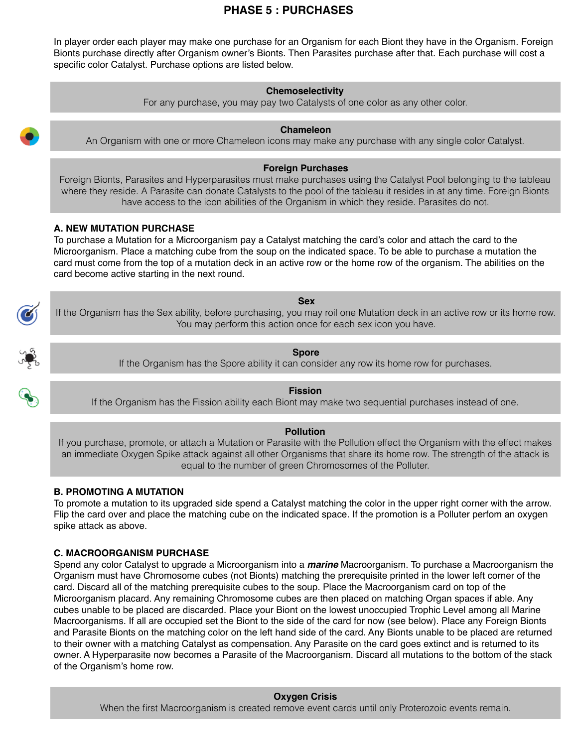### **PHASE 5 : PURCHASES**

In player order each player may make one purchase for an Organism for each Biont they have in the Organism. Foreign Bionts purchase directly after Organism owner's Bionts. Then Parasites purchase after that. Each purchase will cost a specific color Catalyst. Purchase options are listed below.

#### **Chemoselectivity**

For any purchase, you may pay two Catalysts of one color as any other color.

#### **Chameleon**

An Organism with one or more Chameleon icons may make any purchase with any single color Catalyst.

#### **Foreign Purchases**

Foreign Bionts, Parasites and Hyperparasites must make purchases using the Catalyst Pool belonging to the tableau where they reside. A Parasite can donate Catalysts to the pool of the tableau it resides in at any time. Foreign Bionts have access to the icon abilities of the Organism in which they reside. Parasites do not.

#### **A. NEW MUTATION PURCHASE**

To purchase a Mutation for a Microorganism pay a Catalyst matching the card's color and attach the card to the Microorganism. Place a matching cube from the soup on the indicated space. To be able to purchase a mutation the card must come from the top of a mutation deck in an active row or the home row of the organism. The abilities on the card become active starting in the next round.



### **Sex** If the Organism has the Sex ability, before purchasing, you may roil one Mutation deck in an active row or its home row. You may perform this action once for each sex icon you have.

#### **Spore**

If the Organism has the Spore ability it can consider any row its home row for purchases.



#### **Fission**

If the Organism has the Fission ability each Biont may make two sequential purchases instead of one.

#### **Pollution**

If you purchase, promote, or attach a Mutation or Parasite with the Pollution effect the Organism with the effect makes an immediate Oxygen Spike attack against all other Organisms that share its home row. The strength of the attack is equal to the number of green Chromosomes of the Polluter.

#### **B. PROMOTING A MUTATION**

To promote a mutation to its upgraded side spend a Catalyst matching the color in the upper right corner with the arrow. Flip the card over and place the matching cube on the indicated space. If the promotion is a Polluter perfom an oxygen spike attack as above.

#### **C. MACROORGANISM PURCHASE**

Spend any color Catalyst to upgrade a Microorganism into a *marine* Macroorganism. To purchase a Macroorganism the Organism must have Chromosome cubes (not Bionts) matching the prerequisite printed in the lower left corner of the card. Discard all of the matching prerequisite cubes to the soup. Place the Macroorganism card on top of the Microorganism placard. Any remaining Chromosome cubes are then placed on matching Organ spaces if able. Any cubes unable to be placed are discarded. Place your Biont on the lowest unoccupied Trophic Level among all Marine Macroorganisms. If all are occupied set the Biont to the side of the card for now (see below). Place any Foreign Bionts and Parasite Bionts on the matching color on the left hand side of the card. Any Bionts unable to be placed are returned to their owner with a matching Catalyst as compensation. Any Parasite on the card goes extinct and is returned to its owner. A Hyperparasite now becomes a Parasite of the Macroorganism. Discard all mutations to the bottom of the stack of the Organism's home row.

#### **Oxygen Crisis**

When the first Macroorganism is created remove event cards until only Proterozoic events remain.